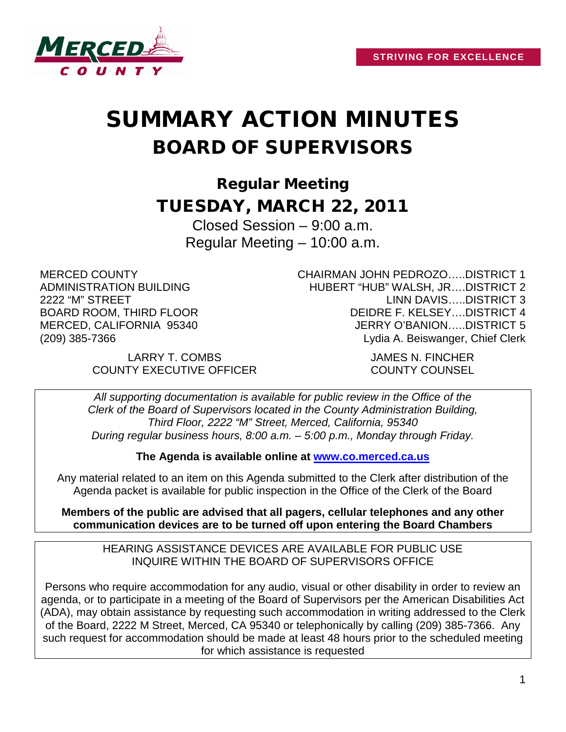

# SUMMARY ACTION MINUTES BOARD OF SUPERVISORS

Regular Meeting TUESDAY, MARCH 22, 2011

> Closed Session – 9:00 a.m. Regular Meeting – 10:00 a.m.

MERCED COUNTY ADMINISTRATION BUILDING 2222 "M" STREET BOARD ROOM, THIRD FLOOR MERCED, CALIFORNIA 95340 (209) 385-7366

CHAIRMAN JOHN PEDROZO…..DISTRICT 1 HUBERT "HUB" WALSH, JR….DISTRICT 2 LINN DAVIS…..DISTRICT 3 DEIDRE F. KELSEY….DISTRICT 4 JERRY O'BANION…..DISTRICT 5 Lydia A. Beiswanger, Chief Clerk

LARRY T. COMBS JAMES N. FINCHER COUNTY EXECUTIVE OFFICER COUNTY COUNSEL

*All supporting documentation is available for public review in the Office of the Clerk of the Board of Supervisors located in the County Administration Building, Third Floor, 2222 "M" Street, Merced, California, 95340 During regular business hours, 8:00 a.m. – 5:00 p.m., Monday through Friday.*

**The Agenda is available online at [www.co.merced.ca.us](http://www.co.merced.ca.us/)**

Any material related to an item on this Agenda submitted to the Clerk after distribution of the Agenda packet is available for public inspection in the Office of the Clerk of the Board

**Members of the public are advised that all pagers, cellular telephones and any other communication devices are to be turned off upon entering the Board Chambers**

HEARING ASSISTANCE DEVICES ARE AVAILABLE FOR PUBLIC USE INQUIRE WITHIN THE BOARD OF SUPERVISORS OFFICE

Persons who require accommodation for any audio, visual or other disability in order to review an agenda, or to participate in a meeting of the Board of Supervisors per the American Disabilities Act (ADA), may obtain assistance by requesting such accommodation in writing addressed to the Clerk of the Board, 2222 M Street, Merced, CA 95340 or telephonically by calling (209) 385-7366. Any such request for accommodation should be made at least 48 hours prior to the scheduled meeting for which assistance is requested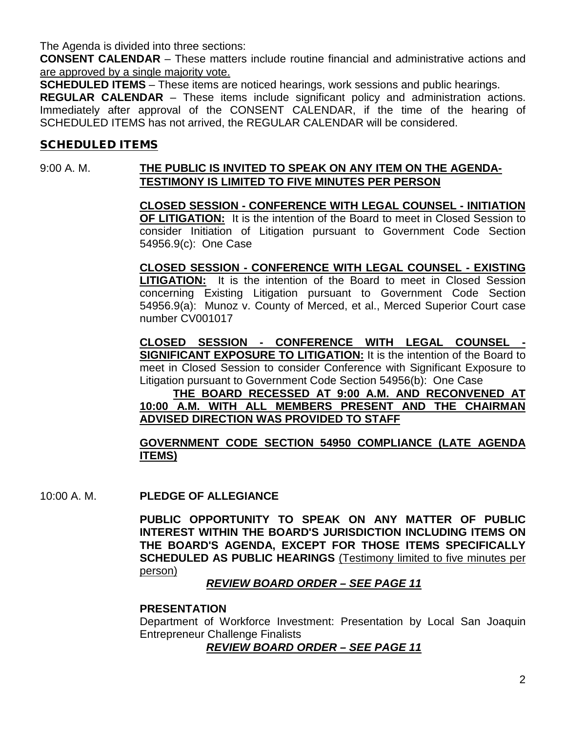The Agenda is divided into three sections:

**CONSENT CALENDAR** – These matters include routine financial and administrative actions and are approved by a single majority vote.

**SCHEDULED ITEMS** – These items are noticed hearings, work sessions and public hearings.

**REGULAR CALENDAR** – These items include significant policy and administration actions. Immediately after approval of the CONSENT CALENDAR, if the time of the hearing of SCHEDULED ITEMS has not arrived, the REGULAR CALENDAR will be considered.

#### SCHEDULED ITEMS

#### 9:00 A. M. **THE PUBLIC IS INVITED TO SPEAK ON ANY ITEM ON THE AGENDA-TESTIMONY IS LIMITED TO FIVE MINUTES PER PERSON**

**CLOSED SESSION - CONFERENCE WITH LEGAL COUNSEL - INITIATION OF LITIGATION:** It is the intention of the Board to meet in Closed Session to consider Initiation of Litigation pursuant to Government Code Section 54956.9(c): One Case

**CLOSED SESSION - CONFERENCE WITH LEGAL COUNSEL - EXISTING LITIGATION:** It is the intention of the Board to meet in Closed Session concerning Existing Litigation pursuant to Government Code Section 54956.9(a): Munoz v. County of Merced, et al., Merced Superior Court case number CV001017

**CLOSED SESSION - CONFERENCE WITH LEGAL COUNSEL - SIGNIFICANT EXPOSURE TO LITIGATION:** It is the intention of the Board to meet in Closed Session to consider Conference with Significant Exposure to Litigation pursuant to Government Code Section 54956(b): One Case

#### **THE BOARD RECESSED AT 9:00 A.M. AND RECONVENED AT 10:00 A.M. WITH ALL MEMBERS PRESENT AND THE CHAIRMAN ADVISED DIRECTION WAS PROVIDED TO STAFF**

#### **GOVERNMENT CODE SECTION 54950 COMPLIANCE (LATE AGENDA ITEMS)**

10:00 A. M. **PLEDGE OF ALLEGIANCE**

**PUBLIC OPPORTUNITY TO SPEAK ON ANY MATTER OF PUBLIC INTEREST WITHIN THE BOARD'S JURISDICTION INCLUDING ITEMS ON THE BOARD'S AGENDA, EXCEPT FOR THOSE ITEMS SPECIFICALLY SCHEDULED AS PUBLIC HEARINGS** (Testimony limited to five minutes per person)

#### *REVIEW BOARD ORDER – SEE PAGE 11*

#### **PRESENTATION**

Department of Workforce Investment: Presentation by Local San Joaquin Entrepreneur Challenge Finalists

*REVIEW BOARD ORDER – SEE PAGE 11*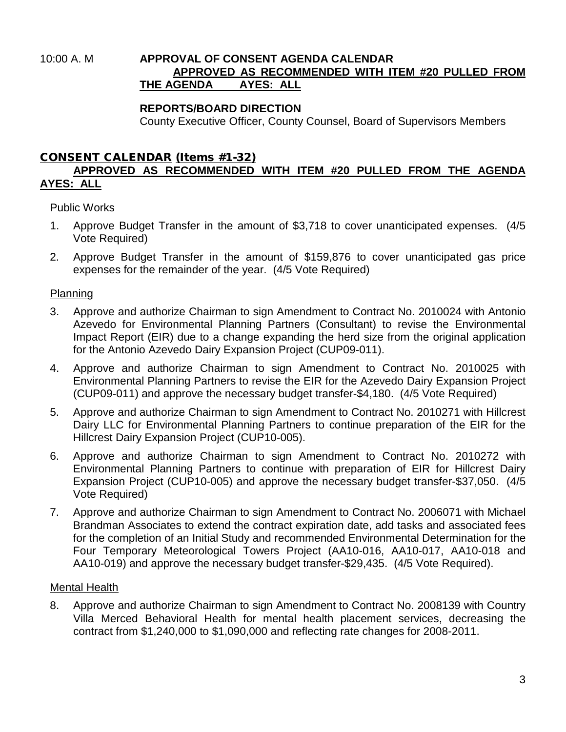#### 10:00 A. M **APPROVAL OF CONSENT AGENDA CALENDAR APPROVED AS RECOMMENDED WITH ITEM #20 PULLED FROM THE AGENDA AYES: ALL**

#### **REPORTS/BOARD DIRECTION**

County Executive Officer, County Counsel, Board of Supervisors Members

#### CONSENT CALENDAR (Items #1-32) **APPROVED AS RECOMMENDED WITH ITEM #20 PULLED FROM THE AGENDA AYES: ALL**

#### Public Works

- 1. Approve Budget Transfer in the amount of \$3,718 to cover unanticipated expenses. (4/5 Vote Required)
- 2. Approve Budget Transfer in the amount of \$159,876 to cover unanticipated gas price expenses for the remainder of the year. (4/5 Vote Required)

#### Planning

- 3. Approve and authorize Chairman to sign Amendment to Contract No. 2010024 with Antonio Azevedo for Environmental Planning Partners (Consultant) to revise the Environmental Impact Report (EIR) due to a change expanding the herd size from the original application for the Antonio Azevedo Dairy Expansion Project (CUP09-011).
- 4. Approve and authorize Chairman to sign Amendment to Contract No. 2010025 with Environmental Planning Partners to revise the EIR for the Azevedo Dairy Expansion Project (CUP09-011) and approve the necessary budget transfer-\$4,180. (4/5 Vote Required)
- 5. Approve and authorize Chairman to sign Amendment to Contract No. 2010271 with Hillcrest Dairy LLC for Environmental Planning Partners to continue preparation of the EIR for the Hillcrest Dairy Expansion Project (CUP10-005).
- 6. Approve and authorize Chairman to sign Amendment to Contract No. 2010272 with Environmental Planning Partners to continue with preparation of EIR for Hillcrest Dairy Expansion Project (CUP10-005) and approve the necessary budget transfer-\$37,050. (4/5 Vote Required)
- 7. Approve and authorize Chairman to sign Amendment to Contract No. 2006071 with Michael Brandman Associates to extend the contract expiration date, add tasks and associated fees for the completion of an Initial Study and recommended Environmental Determination for the Four Temporary Meteorological Towers Project (AA10-016, AA10-017, AA10-018 and AA10-019) and approve the necessary budget transfer-\$29,435. (4/5 Vote Required).

#### Mental Health

8. Approve and authorize Chairman to sign Amendment to Contract No. 2008139 with Country Villa Merced Behavioral Health for mental health placement services, decreasing the contract from \$1,240,000 to \$1,090,000 and reflecting rate changes for 2008-2011.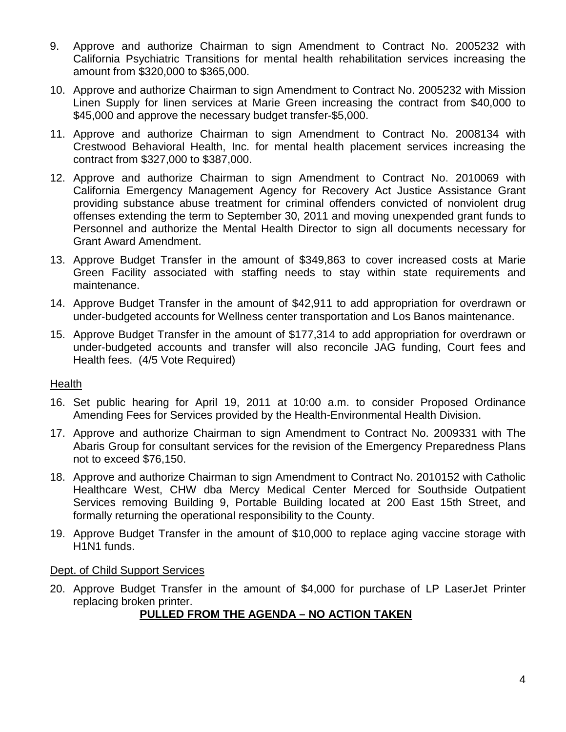- 9. Approve and authorize Chairman to sign Amendment to Contract No. 2005232 with California Psychiatric Transitions for mental health rehabilitation services increasing the amount from \$320,000 to \$365,000.
- 10. Approve and authorize Chairman to sign Amendment to Contract No. 2005232 with Mission Linen Supply for linen services at Marie Green increasing the contract from \$40,000 to \$45,000 and approve the necessary budget transfer-\$5,000.
- 11. Approve and authorize Chairman to sign Amendment to Contract No. 2008134 with Crestwood Behavioral Health, Inc. for mental health placement services increasing the contract from \$327,000 to \$387,000.
- 12. Approve and authorize Chairman to sign Amendment to Contract No. 2010069 with California Emergency Management Agency for Recovery Act Justice Assistance Grant providing substance abuse treatment for criminal offenders convicted of nonviolent drug offenses extending the term to September 30, 2011 and moving unexpended grant funds to Personnel and authorize the Mental Health Director to sign all documents necessary for Grant Award Amendment.
- 13. Approve Budget Transfer in the amount of \$349,863 to cover increased costs at Marie Green Facility associated with staffing needs to stay within state requirements and maintenance.
- 14. Approve Budget Transfer in the amount of \$42,911 to add appropriation for overdrawn or under-budgeted accounts for Wellness center transportation and Los Banos maintenance.
- 15. Approve Budget Transfer in the amount of \$177,314 to add appropriation for overdrawn or under-budgeted accounts and transfer will also reconcile JAG funding, Court fees and Health fees. (4/5 Vote Required)

#### Health

- 16. Set public hearing for April 19, 2011 at 10:00 a.m. to consider Proposed Ordinance Amending Fees for Services provided by the Health-Environmental Health Division.
- 17. Approve and authorize Chairman to sign Amendment to Contract No. 2009331 with The Abaris Group for consultant services for the revision of the Emergency Preparedness Plans not to exceed \$76,150.
- 18. Approve and authorize Chairman to sign Amendment to Contract No. 2010152 with Catholic Healthcare West, CHW dba Mercy Medical Center Merced for Southside Outpatient Services removing Building 9, Portable Building located at 200 East 15th Street, and formally returning the operational responsibility to the County.
- 19. Approve Budget Transfer in the amount of \$10,000 to replace aging vaccine storage with H1N1 funds.

#### Dept. of Child Support Services

20. Approve Budget Transfer in the amount of \$4,000 for purchase of LP LaserJet Printer replacing broken printer.

#### **PULLED FROM THE AGENDA – NO ACTION TAKEN**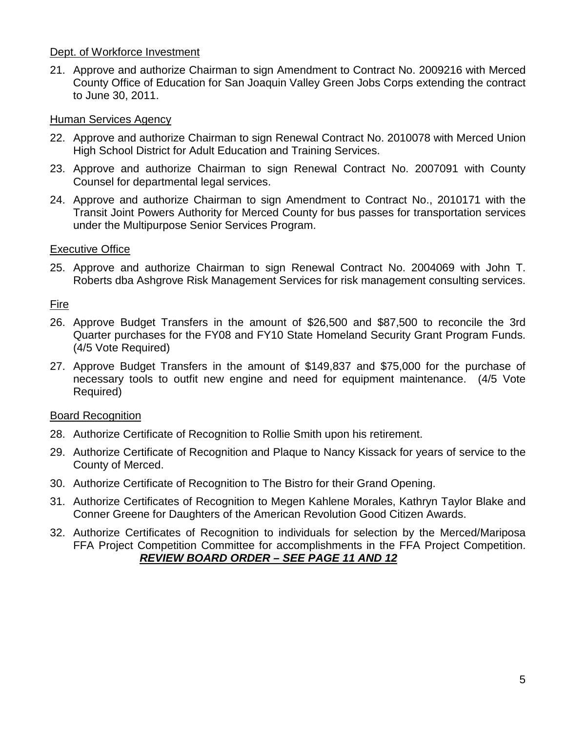#### Dept. of Workforce Investment

21. Approve and authorize Chairman to sign Amendment to Contract No. 2009216 with Merced County Office of Education for San Joaquin Valley Green Jobs Corps extending the contract to June 30, 2011.

#### Human Services Agency

- 22. Approve and authorize Chairman to sign Renewal Contract No. 2010078 with Merced Union High School District for Adult Education and Training Services.
- 23. Approve and authorize Chairman to sign Renewal Contract No. 2007091 with County Counsel for departmental legal services.
- 24. Approve and authorize Chairman to sign Amendment to Contract No., 2010171 with the Transit Joint Powers Authority for Merced County for bus passes for transportation services under the Multipurpose Senior Services Program.

#### Executive Office

25. Approve and authorize Chairman to sign Renewal Contract No. 2004069 with John T. Roberts dba Ashgrove Risk Management Services for risk management consulting services.

#### Fire

- 26. Approve Budget Transfers in the amount of \$26,500 and \$87,500 to reconcile the 3rd Quarter purchases for the FY08 and FY10 State Homeland Security Grant Program Funds. (4/5 Vote Required)
- 27. Approve Budget Transfers in the amount of \$149,837 and \$75,000 for the purchase of necessary tools to outfit new engine and need for equipment maintenance. (4/5 Vote Required)

#### Board Recognition

- 28. Authorize Certificate of Recognition to Rollie Smith upon his retirement.
- 29. Authorize Certificate of Recognition and Plaque to Nancy Kissack for years of service to the County of Merced.
- 30. Authorize Certificate of Recognition to The Bistro for their Grand Opening.
- 31. Authorize Certificates of Recognition to Megen Kahlene Morales, Kathryn Taylor Blake and Conner Greene for Daughters of the American Revolution Good Citizen Awards.
- 32. Authorize Certificates of Recognition to individuals for selection by the Merced/Mariposa FFA Project Competition Committee for accomplishments in the FFA Project Competition. *REVIEW BOARD ORDER – SEE PAGE 11 AND 12*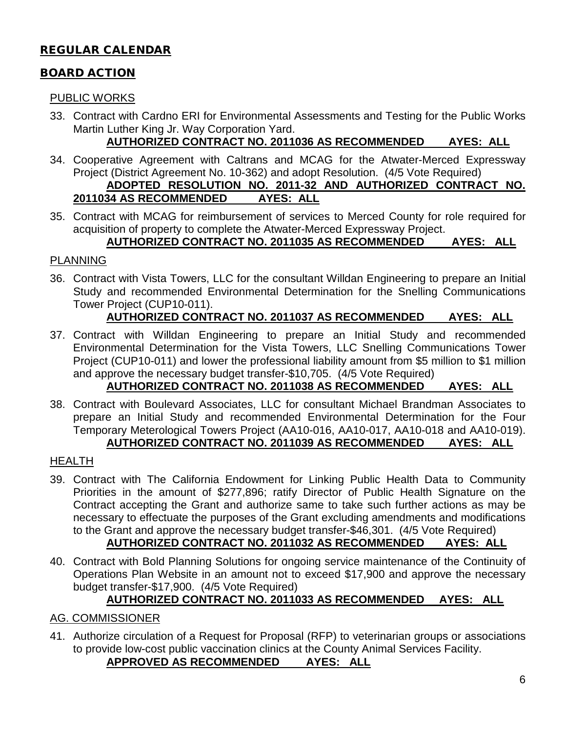# REGULAR CALENDAR

#### BOARD ACTION

#### PUBLIC WORKS

33. Contract with Cardno ERI for Environmental Assessments and Testing for the Public Works Martin Luther King Jr. Way Corporation Yard.

### **AUTHORIZED CONTRACT NO. 2011036 AS RECOMMENDED AYES: ALL**

- 34. Cooperative Agreement with Caltrans and MCAG for the Atwater-Merced Expressway Project (District Agreement No. 10-362) and adopt Resolution. (4/5 Vote Required) **ADOPTED RESOLUTION NO. 2011-32 AND AUTHORIZED CONTRACT NO. 2011034 AS RECOMMENDED AYES: ALL**
- 35. Contract with MCAG for reimbursement of services to Merced County for role required for acquisition of property to complete the Atwater-Merced Expressway Project.

#### **AUTHORIZED CONTRACT NO. 2011035 AS RECOMMENDED AYES: ALL**

#### PLANNING

36. Contract with Vista Towers, LLC for the consultant Willdan Engineering to prepare an Initial Study and recommended Environmental Determination for the Snelling Communications Tower Project (CUP10-011).

#### **AUTHORIZED CONTRACT NO. 2011037 AS RECOMMENDED AYES: ALL**

37. Contract with Willdan Engineering to prepare an Initial Study and recommended Environmental Determination for the Vista Towers, LLC Snelling Communications Tower Project (CUP10-011) and lower the professional liability amount from \$5 million to \$1 million and approve the necessary budget transfer-\$10,705. (4/5 Vote Required)

# **AUTHORIZED CONTRACT NO. 2011038 AS RECOMMENDED AYES: ALL**

38. Contract with Boulevard Associates, LLC for consultant Michael Brandman Associates to prepare an Initial Study and recommended Environmental Determination for the Four Temporary Meterological Towers Project (AA10-016, AA10-017, AA10-018 and AA10-019). **AUTHORIZED CONTRACT NO. 2011039 AS RECOMMENDED AYES: ALL**

#### HEALTH

39. Contract with The California Endowment for Linking Public Health Data to Community Priorities in the amount of \$277,896; ratify Director of Public Health Signature on the Contract accepting the Grant and authorize same to take such further actions as may be necessary to effectuate the purposes of the Grant excluding amendments and modifications to the Grant and approve the necessary budget transfer-\$46,301. (4/5 Vote Required)

# **AUTHORIZED CONTRACT NO. 2011032 AS RECOMMENDED AYES: ALL**

40. Contract with Bold Planning Solutions for ongoing service maintenance of the Continuity of Operations Plan Website in an amount not to exceed \$17,900 and approve the necessary budget transfer-\$17,900. (4/5 Vote Required)

#### **AUTHORIZED CONTRACT NO. 2011033 AS RECOMMENDED AYES: ALL**

#### AG. COMMISSIONER

41. Authorize circulation of a Request for Proposal (RFP) to veterinarian groups or associations to provide low-cost public vaccination clinics at the County Animal Services Facility.

#### **APPROVED AS RECOMMENDED AYES: ALL**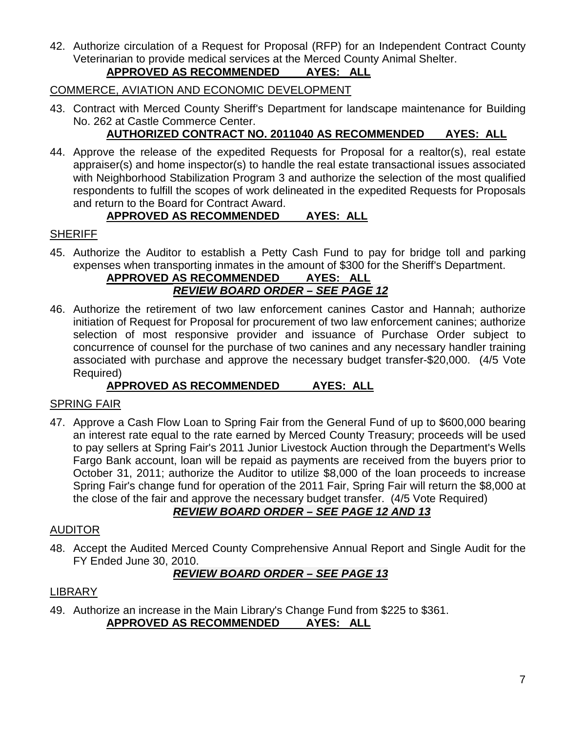42. Authorize circulation of a Request for Proposal (RFP) for an Independent Contract County Veterinarian to provide medical services at the Merced County Animal Shelter.

# **APPROVED AS RECOMMENDED AYES: ALL**

#### COMMERCE, AVIATION AND ECONOMIC DEVELOPMENT

43. Contract with Merced County Sheriff's Department for landscape maintenance for Building No. 262 at Castle Commerce Center.

# **AUTHORIZED CONTRACT NO. 2011040 AS RECOMMENDED AYES: ALL**

44. Approve the release of the expedited Requests for Proposal for a realtor(s), real estate appraiser(s) and home inspector(s) to handle the real estate transactional issues associated with Neighborhood Stabilization Program 3 and authorize the selection of the most qualified respondents to fulfill the scopes of work delineated in the expedited Requests for Proposals and return to the Board for Contract Award.

## **APPROVED AS RECOMMENDED AYES: ALL**

#### **SHERIFF**

45. Authorize the Auditor to establish a Petty Cash Fund to pay for bridge toll and parking expenses when transporting inmates in the amount of \$300 for the Sheriff's Department.

#### **APPROVED AS RECOMMENDED AYES: ALL** *REVIEW BOARD ORDER – SEE PAGE 12*

46. Authorize the retirement of two law enforcement canines Castor and Hannah; authorize initiation of Request for Proposal for procurement of two law enforcement canines; authorize selection of most responsive provider and issuance of Purchase Order subject to concurrence of counsel for the purchase of two canines and any necessary handler training associated with purchase and approve the necessary budget transfer-\$20,000. (4/5 Vote Required)

# **APPROVED AS RECOMMENDED AYES: ALL**

#### SPRING FAIR

47. Approve a Cash Flow Loan to Spring Fair from the General Fund of up to \$600,000 bearing an interest rate equal to the rate earned by Merced County Treasury; proceeds will be used to pay sellers at Spring Fair's 2011 Junior Livestock Auction through the Department's Wells Fargo Bank account, loan will be repaid as payments are received from the buyers prior to October 31, 2011; authorize the Auditor to utilize \$8,000 of the loan proceeds to increase Spring Fair's change fund for operation of the 2011 Fair, Spring Fair will return the \$8,000 at the close of the fair and approve the necessary budget transfer. (4/5 Vote Required)

# *REVIEW BOARD ORDER – SEE PAGE 12 AND 13*

#### AUDITOR

48. Accept the Audited Merced County Comprehensive Annual Report and Single Audit for the FY Ended June 30, 2010.

# *REVIEW BOARD ORDER – SEE PAGE 13*

#### LIBRARY

49. Authorize an increase in the Main Library's Change Fund from \$225 to \$361. **APPROVED AS RECOMMENDED AYES: ALL**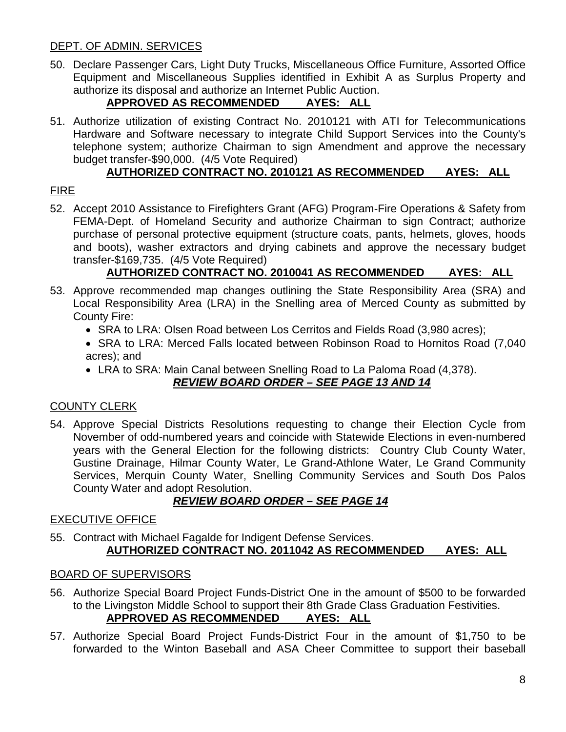#### DEPT. OF ADMIN. SERVICES

50. Declare Passenger Cars, Light Duty Trucks, Miscellaneous Office Furniture, Assorted Office Equipment and Miscellaneous Supplies identified in Exhibit A as Surplus Property and authorize its disposal and authorize an Internet Public Auction.

# **APPROVED AS RECOMMENDED AYES: ALL**

51. Authorize utilization of existing Contract No. 2010121 with ATI for Telecommunications Hardware and Software necessary to integrate Child Support Services into the County's telephone system; authorize Chairman to sign Amendment and approve the necessary budget transfer-\$90,000. (4/5 Vote Required)

# **AUTHORIZED CONTRACT NO. 2010121 AS RECOMMENDED AYES: ALL**

# FIRE

52. Accept 2010 Assistance to Firefighters Grant (AFG) Program-Fire Operations & Safety from FEMA-Dept. of Homeland Security and authorize Chairman to sign Contract; authorize purchase of personal protective equipment (structure coats, pants, helmets, gloves, hoods and boots), washer extractors and drying cabinets and approve the necessary budget transfer-\$169,735. (4/5 Vote Required)

## **AUTHORIZED CONTRACT NO. 2010041 AS RECOMMENDED AYES: ALL**

- 53. Approve recommended map changes outlining the State Responsibility Area (SRA) and Local Responsibility Area (LRA) in the Snelling area of Merced County as submitted by County Fire:
	- SRA to LRA: Olsen Road between Los Cerritos and Fields Road (3,980 acres);
	- SRA to LRA: Merced Falls located between Robinson Road to Hornitos Road (7,040) acres); and
	- LRA to SRA: Main Canal between Snelling Road to La Paloma Road (4,378).

#### *REVIEW BOARD ORDER – SEE PAGE 13 AND 14*

#### COUNTY CLERK

54. Approve Special Districts Resolutions requesting to change their Election Cycle from November of odd-numbered years and coincide with Statewide Elections in even-numbered years with the General Election for the following districts: Country Club County Water, Gustine Drainage, Hilmar County Water, Le Grand-Athlone Water, Le Grand Community Services, Merquin County Water, Snelling Community Services and South Dos Palos County Water and adopt Resolution.

# *REVIEW BOARD ORDER – SEE PAGE 14*

#### EXECUTIVE OFFICE

55. Contract with Michael Fagalde for Indigent Defense Services. **AUTHORIZED CONTRACT NO. 2011042 AS RECOMMENDED AYES: ALL**

#### BOARD OF SUPERVISORS

- 56. Authorize Special Board Project Funds-District One in the amount of \$500 to be forwarded to the Livingston Middle School to support their 8th Grade Class Graduation Festivities. **APPROVED AS RECOMMENDED AYES: ALL**
- 57. Authorize Special Board Project Funds-District Four in the amount of \$1,750 to be forwarded to the Winton Baseball and ASA Cheer Committee to support their baseball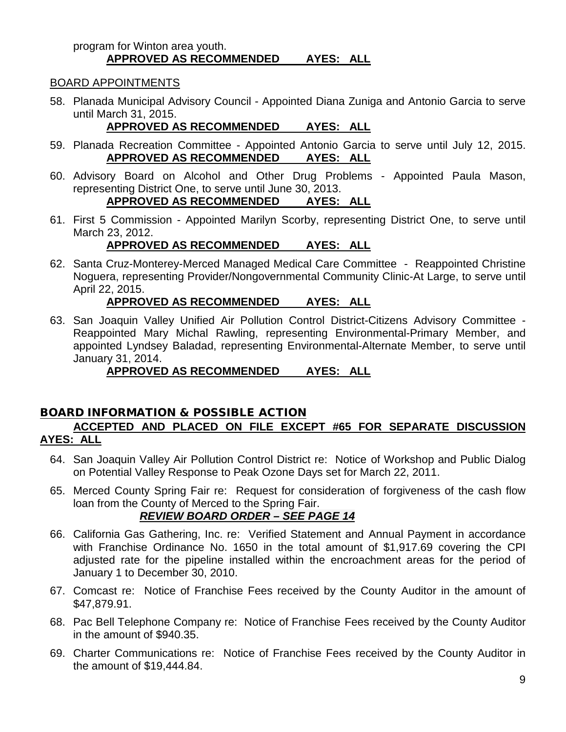#### program for Winton area youth. **APPROVED AS RECOMMENDED AYES: ALL**

#### BOARD APPOINTMENTS

58. Planada Municipal Advisory Council - Appointed Diana Zuniga and Antonio Garcia to serve until March 31, 2015.

# **APPROVED AS RECOMMENDED AYES: ALL**

- 59. Planada Recreation Committee Appointed Antonio Garcia to serve until July 12, 2015. **APPROVED AS RECOMMENDED AYES: ALL**
- 60. Advisory Board on Alcohol and Other Drug Problems Appointed Paula Mason, representing District One, to serve until June 30, 2013. **APPROVED AS RECOMMENDED AYES: ALL**
- 61. First 5 Commission Appointed Marilyn Scorby, representing District One, to serve until March 23, 2012.

## **APPROVED AS RECOMMENDED AYES: ALL**

62. Santa Cruz-Monterey-Merced Managed Medical Care Committee - Reappointed Christine Noguera, representing Provider/Nongovernmental Community Clinic-At Large, to serve until April 22, 2015.

#### **APPROVED AS RECOMMENDED AYES: ALL**

63. San Joaquin Valley Unified Air Pollution Control District-Citizens Advisory Committee - Reappointed Mary Michal Rawling, representing Environmental-Primary Member, and appointed Lyndsey Baladad, representing Environmental-Alternate Member, to serve until January 31, 2014.

# **APPROVED AS RECOMMENDED AYES: ALL**

#### BOARD INFORMATION & POSSIBLE ACTION **ACCEPTED AND PLACED ON FILE EXCEPT #65 FOR SEPARATE DISCUSSION AYES: ALL**

- 64. San Joaquin Valley Air Pollution Control District re: Notice of Workshop and Public Dialog on Potential Valley Response to Peak Ozone Days set for March 22, 2011.
- 65. Merced County Spring Fair re: Request for consideration of forgiveness of the cash flow loan from the County of Merced to the Spring Fair.

# *REVIEW BOARD ORDER – SEE PAGE 14*

- 66. California Gas Gathering, Inc. re: Verified Statement and Annual Payment in accordance with Franchise Ordinance No. 1650 in the total amount of \$1,917.69 covering the CPI adjusted rate for the pipeline installed within the encroachment areas for the period of January 1 to December 30, 2010.
- 67. Comcast re: Notice of Franchise Fees received by the County Auditor in the amount of \$47,879.91.
- 68. Pac Bell Telephone Company re: Notice of Franchise Fees received by the County Auditor in the amount of \$940.35.
- 69. Charter Communications re: Notice of Franchise Fees received by the County Auditor in the amount of \$19,444.84.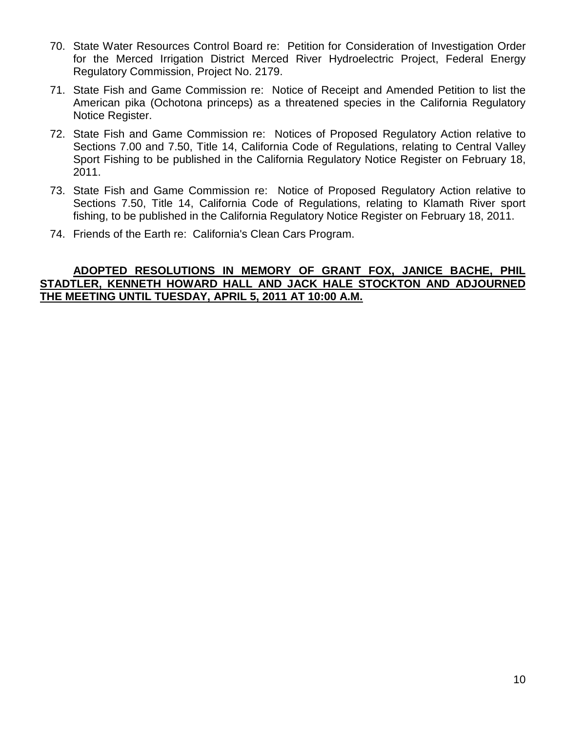- 70. State Water Resources Control Board re: Petition for Consideration of Investigation Order for the Merced Irrigation District Merced River Hydroelectric Project, Federal Energy Regulatory Commission, Project No. 2179.
- 71. State Fish and Game Commission re: Notice of Receipt and Amended Petition to list the American pika (Ochotona princeps) as a threatened species in the California Regulatory Notice Register.
- 72. State Fish and Game Commission re: Notices of Proposed Regulatory Action relative to Sections 7.00 and 7.50, Title 14, California Code of Regulations, relating to Central Valley Sport Fishing to be published in the California Regulatory Notice Register on February 18, 2011.
- 73. State Fish and Game Commission re: Notice of Proposed Regulatory Action relative to Sections 7.50, Title 14, California Code of Regulations, relating to Klamath River sport fishing, to be published in the California Regulatory Notice Register on February 18, 2011.
- 74. Friends of the Earth re: California's Clean Cars Program.

#### **ADOPTED RESOLUTIONS IN MEMORY OF GRANT FOX, JANICE BACHE, PHIL STADTLER, KENNETH HOWARD HALL AND JACK HALE STOCKTON AND ADJOURNED THE MEETING UNTIL TUESDAY, APRIL 5, 2011 AT 10:00 A.M.**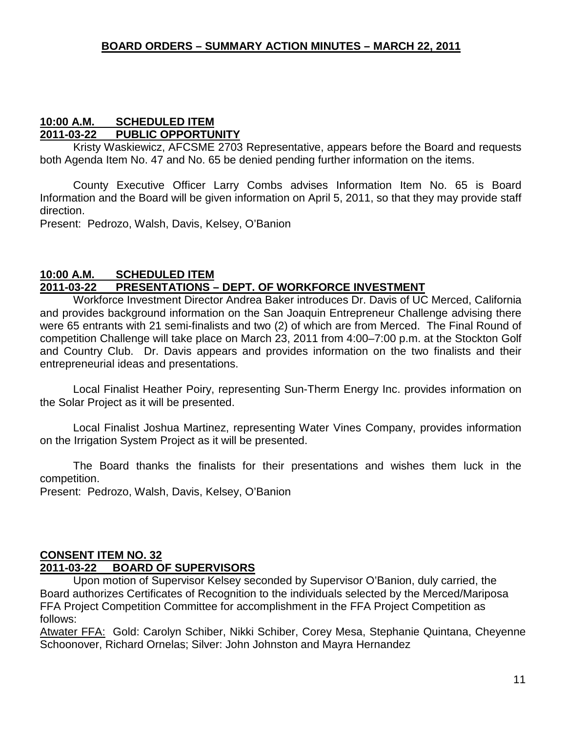#### **10:00 A.M. SCHEDULED ITEM 2011-03-22 PUBLIC OPPORTUNITY**

Kristy Waskiewicz, AFCSME 2703 Representative, appears before the Board and requests both Agenda Item No. 47 and No. 65 be denied pending further information on the items.

County Executive Officer Larry Combs advises Information Item No. 65 is Board Information and the Board will be given information on April 5, 2011, so that they may provide staff direction.

Present: Pedrozo, Walsh, Davis, Kelsey, O'Banion

#### **10:00 A.M. SCHEDULED ITEM 2011-03-22 PRESENTATIONS – DEPT. OF WORKFORCE INVESTMENT**

Workforce Investment Director Andrea Baker introduces Dr. Davis of UC Merced, California and provides background information on the San Joaquin Entrepreneur Challenge advising there were 65 entrants with 21 semi-finalists and two (2) of which are from Merced. The Final Round of competition Challenge will take place on March 23, 2011 from 4:00–7:00 p.m. at the Stockton Golf and Country Club. Dr. Davis appears and provides information on the two finalists and their entrepreneurial ideas and presentations.

Local Finalist Heather Poiry, representing Sun-Therm Energy Inc. provides information on the Solar Project as it will be presented.

Local Finalist Joshua Martinez, representing Water Vines Company, provides information on the Irrigation System Project as it will be presented.

The Board thanks the finalists for their presentations and wishes them luck in the competition.

Present: Pedrozo, Walsh, Davis, Kelsey, O'Banion

#### **CONSENT ITEM NO. 32 2011-03-22 BOARD OF SUPERVISORS**

Upon motion of Supervisor Kelsey seconded by Supervisor O'Banion, duly carried, the Board authorizes Certificates of Recognition to the individuals selected by the Merced/Mariposa FFA Project Competition Committee for accomplishment in the FFA Project Competition as follows:

Atwater FFA: Gold: Carolyn Schiber, Nikki Schiber, Corey Mesa, Stephanie Quintana, Cheyenne Schoonover, Richard Ornelas; Silver: John Johnston and Mayra Hernandez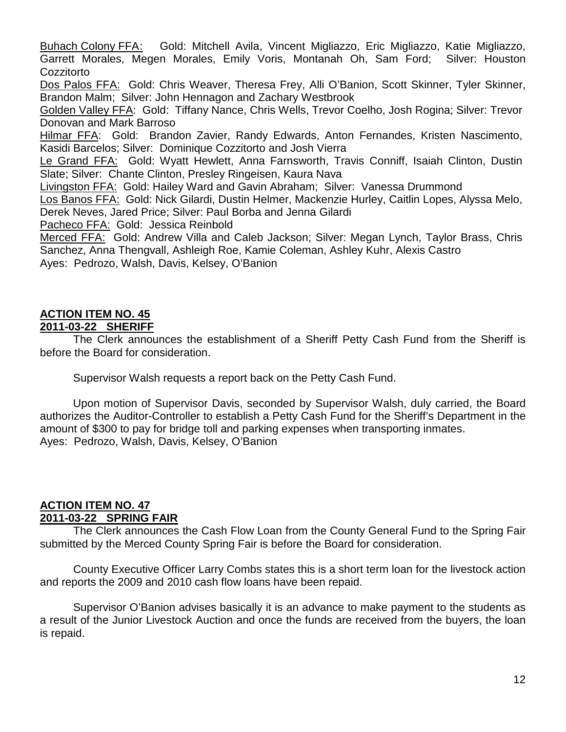Buhach Colony FFA: Gold: Mitchell Avila, Vincent Migliazzo, Eric Migliazzo, Katie Migliazzo, Garrett Morales, Megen Morales, Emily Voris, Montanah Oh, Sam Ford; Silver: Houston **Cozzitorto** 

Dos Palos FFA:Gold: Chris Weaver, Theresa Frey, Alli O'Banion, Scott Skinner, Tyler Skinner, Brandon Malm; Silver: John Hennagon and Zachary Westbrook

Golden Valley FFA: Gold: Tiffany Nance, Chris Wells, Trevor Coelho, Josh Rogina; Silver: Trevor Donovan and Mark Barroso

Hilmar FFA: Gold: Brandon Zavier, Randy Edwards, Anton Fernandes, Kristen Nascimento, Kasidi Barcelos; Silver: Dominique Cozzitorto and Josh Vierra

Le Grand FFA: Gold: Wyatt Hewlett, Anna Farnsworth, Travis Conniff, Isaiah Clinton, Dustin Slate; Silver: Chante Clinton, Presley Ringeisen, Kaura Nava

Livingston FFA: Gold: Hailey Ward and Gavin Abraham; Silver: Vanessa Drummond Los Banos FFA: Gold: Nick Gilardi, Dustin Helmer, Mackenzie Hurley, Caitlin Lopes, Alyssa Melo, Derek Neves, Jared Price; Silver: Paul Borba and Jenna Gilardi

Pacheco FFA: Gold: Jessica Reinbold

Merced FFA: Gold: Andrew Villa and Caleb Jackson; Silver: Megan Lynch, Taylor Brass, Chris Sanchez, Anna Thengvall, Ashleigh Roe, Kamie Coleman, Ashley Kuhr, Alexis Castro Ayes: Pedrozo, Walsh, Davis, Kelsey, O'Banion

#### **ACTION ITEM NO. 45 2011-03-22 SHERIFF**

The Clerk announces the establishment of a Sheriff Petty Cash Fund from the Sheriff is before the Board for consideration.

Supervisor Walsh requests a report back on the Petty Cash Fund.

Upon motion of Supervisor Davis, seconded by Supervisor Walsh, duly carried, the Board authorizes the Auditor-Controller to establish a Petty Cash Fund for the Sheriff's Department in the amount of \$300 to pay for bridge toll and parking expenses when transporting inmates. Ayes: Pedrozo, Walsh, Davis, Kelsey, O'Banion

#### **ACTION ITEM NO. 47 2011-03-22 SPRING FAIR**

The Clerk announces the Cash Flow Loan from the County General Fund to the Spring Fair submitted by the Merced County Spring Fair is before the Board for consideration.

County Executive Officer Larry Combs states this is a short term loan for the livestock action and reports the 2009 and 2010 cash flow loans have been repaid.

Supervisor O'Banion advises basically it is an advance to make payment to the students as a result of the Junior Livestock Auction and once the funds are received from the buyers, the loan is repaid.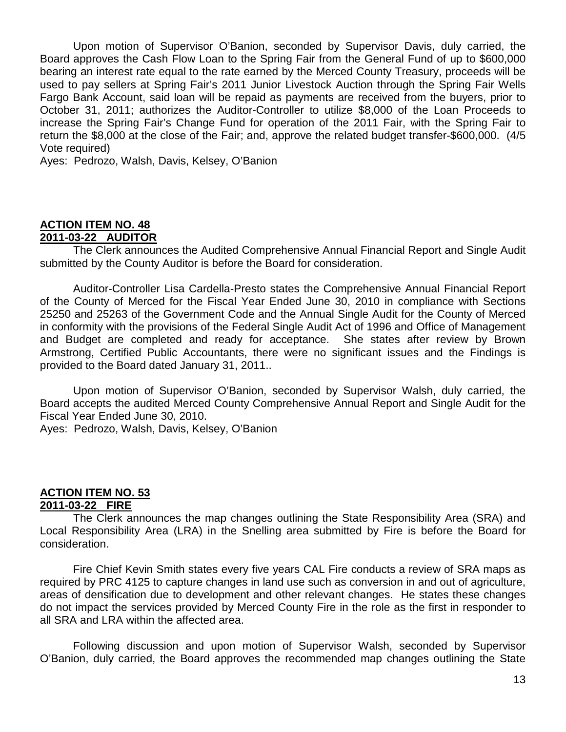Upon motion of Supervisor O'Banion, seconded by Supervisor Davis, duly carried, the Board approves the Cash Flow Loan to the Spring Fair from the General Fund of up to \$600,000 bearing an interest rate equal to the rate earned by the Merced County Treasury, proceeds will be used to pay sellers at Spring Fair's 2011 Junior Livestock Auction through the Spring Fair Wells Fargo Bank Account, said loan will be repaid as payments are received from the buyers, prior to October 31, 2011; authorizes the Auditor-Controller to utilize \$8,000 of the Loan Proceeds to increase the Spring Fair's Change Fund for operation of the 2011 Fair, with the Spring Fair to return the \$8,000 at the close of the Fair; and, approve the related budget transfer-\$600,000. (4/5 Vote required)

Ayes: Pedrozo, Walsh, Davis, Kelsey, O'Banion

#### **ACTION ITEM NO. 48 2011-03-22 AUDITOR**

The Clerk announces the Audited Comprehensive Annual Financial Report and Single Audit submitted by the County Auditor is before the Board for consideration.

Auditor-Controller Lisa Cardella-Presto states the Comprehensive Annual Financial Report of the County of Merced for the Fiscal Year Ended June 30, 2010 in compliance with Sections 25250 and 25263 of the Government Code and the Annual Single Audit for the County of Merced in conformity with the provisions of the Federal Single Audit Act of 1996 and Office of Management and Budget are completed and ready for acceptance. She states after review by Brown Armstrong, Certified Public Accountants, there were no significant issues and the Findings is provided to the Board dated January 31, 2011..

Upon motion of Supervisor O'Banion, seconded by Supervisor Walsh, duly carried, the Board accepts the audited Merced County Comprehensive Annual Report and Single Audit for the Fiscal Year Ended June 30, 2010.

Ayes: Pedrozo, Walsh, Davis, Kelsey, O'Banion

#### **ACTION ITEM NO. 53 2011-03-22 FIRE**

The Clerk announces the map changes outlining the State Responsibility Area (SRA) and Local Responsibility Area (LRA) in the Snelling area submitted by Fire is before the Board for consideration.

Fire Chief Kevin Smith states every five years CAL Fire conducts a review of SRA maps as required by PRC 4125 to capture changes in land use such as conversion in and out of agriculture, areas of densification due to development and other relevant changes. He states these changes do not impact the services provided by Merced County Fire in the role as the first in responder to all SRA and LRA within the affected area.

Following discussion and upon motion of Supervisor Walsh, seconded by Supervisor O'Banion, duly carried, the Board approves the recommended map changes outlining the State